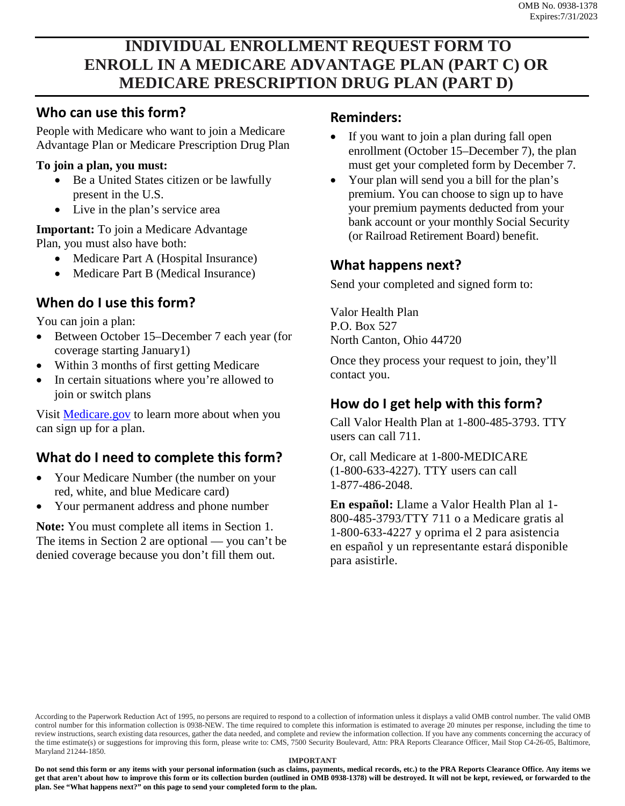# **INDIVIDUAL ENROLLMENT REQUEST FORM TO ENROLL IN A MEDICARE ADVANTAGE PLAN (PART C) OR MEDICARE PRESCRIPTION DRUG PLAN (PART D)**

## **Who can use this form?**

People with Medicare who want to join a Medicare Advantage Plan or Medicare Prescription Drug Plan

#### **To join a plan, you must:**

- Be a United States citizen or be lawfully present in the U.S.
- Live in the plan's service area

**Important:** To join a Medicare Advantage Plan, you must also have both:

- Medicare Part A (Hospital Insurance)
- Medicare Part B (Medical Insurance)

## **When do I use this form?**

You can join a plan:

- Between October 15–December 7 each year (for coverage starting January1)
- Within 3 months of first getting Medicare
- In certain situations where you're allowed to join or switch plans

Visit [Medicare.gov](http://Medicare.gov) to learn more about when you can sign up for a plan.

## **What do I need to complete this form?**

- Your Medicare Number (the number on your red, white, and blue Medicare card)
- Your permanent address and phone number

**Note:** You must complete all items in Section 1. The items in Section 2 are optional — you can't be denied coverage because you don't fill them out.

#### **Reminders:**

- If you want to join a plan during fall open enrollment (October 15–December 7), the plan must get your completed form by December 7.
- Your plan will send you a bill for the plan's premium. You can choose to sign up to have your premium payments deducted from your bank account or your monthly Social Security (or Railroad Retirement Board) benefit.

## **What happens next?**

Send your completed and signed form to:

Valor Health Plan P.O. Box 527 North Canton, Ohio 44720

Once they process your request to join, they'll contact you.

## **How do I get help with this form?**

Call Valor Health Plan at 1-800-485-3793. TTY users can call 711.

Or, call Medicare at 1-800-MEDICARE (1-800-633-4227). TTY users can call 1-877-486-2048.

**En español:** Llame a Valor Health Plan al 1- 800-485-3793/TTY 711 o a Medicare gratis al 1-800-633-4227 y oprima el 2 para asistencia en español y un representante estará disponible para asistirle.

According to the Paperwork Reduction Act of 1995, no persons are required to respond to a collection of information unless it displays a valid OMB control number. The valid OMB control number for this information collection is 0938-NEW. The time required to complete this information is estimated to average 20 minutes per response, including the time to review instructions, search existing data resources, gather the data needed, and complete and review the information collection. If you have any comments concerning the accuracy of the time estimate(s) or suggestions for improving this form, please write to: CMS, 7500 Security Boulevard, Attn: PRA Reports Clearance Officer, Mail Stop C4-26-05, Baltimore, Maryland 21244-1850.

#### **IMPORTANT**

**Do not send this form or any items with your personal information (such as claims, payments, medical records, etc.) to the PRA Reports Clearance Office. Any items we get that aren't about how to improve this form or its collection burden (outlined in OMB 0938-1378) will be destroyed. It will not be kept, reviewed, or forwarded to the plan. See "What happens next?" on this page to send your completed form to the plan.**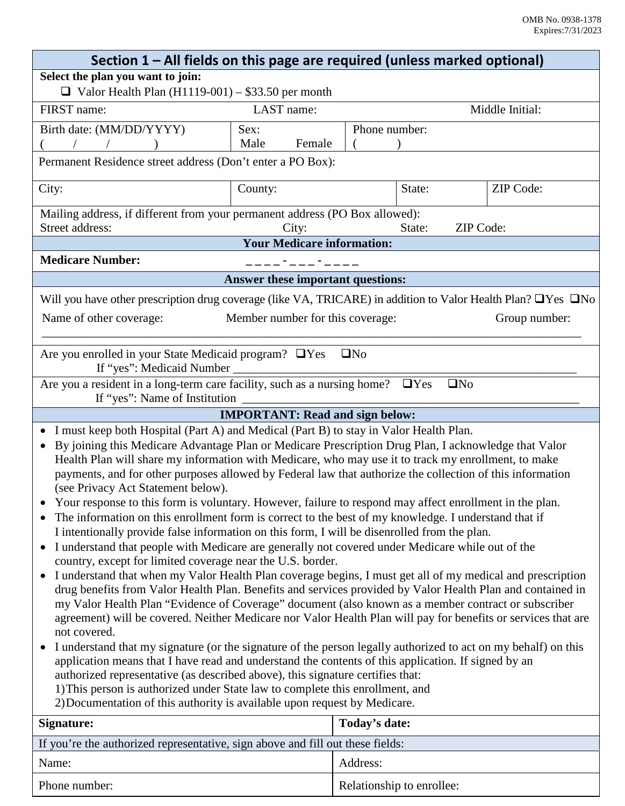| Section 1 - All fields on this page are required (unless marked optional)                                                                                                                                                                                                                                                                                                                                                                                                                                                                                                                                                                                                                              |                                        |               |                     |                  |  |  |
|--------------------------------------------------------------------------------------------------------------------------------------------------------------------------------------------------------------------------------------------------------------------------------------------------------------------------------------------------------------------------------------------------------------------------------------------------------------------------------------------------------------------------------------------------------------------------------------------------------------------------------------------------------------------------------------------------------|----------------------------------------|---------------|---------------------|------------------|--|--|
| Select the plan you want to join:                                                                                                                                                                                                                                                                                                                                                                                                                                                                                                                                                                                                                                                                      |                                        |               |                     |                  |  |  |
| $\Box$ Valor Health Plan (H1119-001) – \$33.50 per month                                                                                                                                                                                                                                                                                                                                                                                                                                                                                                                                                                                                                                               |                                        |               |                     |                  |  |  |
| FIRST name:                                                                                                                                                                                                                                                                                                                                                                                                                                                                                                                                                                                                                                                                                            | LAST name:                             |               |                     | Middle Initial:  |  |  |
| Birth date: (MM/DD/YYYY)                                                                                                                                                                                                                                                                                                                                                                                                                                                                                                                                                                                                                                                                               | Sex:                                   | Phone number: |                     |                  |  |  |
| $\sqrt{ }$                                                                                                                                                                                                                                                                                                                                                                                                                                                                                                                                                                                                                                                                                             | Male<br>Female                         |               |                     |                  |  |  |
| Permanent Residence street address (Don't enter a PO Box):                                                                                                                                                                                                                                                                                                                                                                                                                                                                                                                                                                                                                                             |                                        |               |                     |                  |  |  |
| City:                                                                                                                                                                                                                                                                                                                                                                                                                                                                                                                                                                                                                                                                                                  | County:                                |               | State:              | <b>ZIP</b> Code: |  |  |
| Mailing address, if different from your permanent address (PO Box allowed):                                                                                                                                                                                                                                                                                                                                                                                                                                                                                                                                                                                                                            |                                        |               |                     |                  |  |  |
| Street address:                                                                                                                                                                                                                                                                                                                                                                                                                                                                                                                                                                                                                                                                                        | City:                                  |               | ZIP Code:<br>State: |                  |  |  |
|                                                                                                                                                                                                                                                                                                                                                                                                                                                                                                                                                                                                                                                                                                        | <b>Your Medicare information:</b>      |               |                     |                  |  |  |
| <b>Medicare Number:</b><br>____ <b>-</b> ___ <b>-</b> ____                                                                                                                                                                                                                                                                                                                                                                                                                                                                                                                                                                                                                                             |                                        |               |                     |                  |  |  |
| Answer these important questions:                                                                                                                                                                                                                                                                                                                                                                                                                                                                                                                                                                                                                                                                      |                                        |               |                     |                  |  |  |
| Will you have other prescription drug coverage (like VA, TRICARE) in addition to Valor Health Plan? $\Box$ Yes $\Box$ No                                                                                                                                                                                                                                                                                                                                                                                                                                                                                                                                                                               |                                        |               |                     |                  |  |  |
| Name of other coverage:                                                                                                                                                                                                                                                                                                                                                                                                                                                                                                                                                                                                                                                                                | Member number for this coverage:       |               |                     | Group number:    |  |  |
|                                                                                                                                                                                                                                                                                                                                                                                                                                                                                                                                                                                                                                                                                                        |                                        |               |                     |                  |  |  |
| Are you enrolled in your State Medicaid program? UYes UNo                                                                                                                                                                                                                                                                                                                                                                                                                                                                                                                                                                                                                                              |                                        |               |                     |                  |  |  |
|                                                                                                                                                                                                                                                                                                                                                                                                                                                                                                                                                                                                                                                                                                        |                                        |               |                     |                  |  |  |
| Are you a resident in a long-term care facility, such as a nursing home? $\Box$ Yes                                                                                                                                                                                                                                                                                                                                                                                                                                                                                                                                                                                                                    |                                        |               | $\square$ No        |                  |  |  |
|                                                                                                                                                                                                                                                                                                                                                                                                                                                                                                                                                                                                                                                                                                        | <b>IMPORTANT: Read and sign below:</b> |               |                     |                  |  |  |
| I must keep both Hospital (Part A) and Medical (Part B) to stay in Valor Health Plan.                                                                                                                                                                                                                                                                                                                                                                                                                                                                                                                                                                                                                  |                                        |               |                     |                  |  |  |
| By joining this Medicare Advantage Plan or Medicare Prescription Drug Plan, I acknowledge that Valor<br>Health Plan will share my information with Medicare, who may use it to track my enrollment, to make<br>payments, and for other purposes allowed by Federal law that authorize the collection of this information<br>(see Privacy Act Statement below).                                                                                                                                                                                                                                                                                                                                         |                                        |               |                     |                  |  |  |
| Your response to this form is voluntary. However, failure to respond may affect enrollment in the plan.<br>The information on this enrollment form is correct to the best of my knowledge. I understand that if                                                                                                                                                                                                                                                                                                                                                                                                                                                                                        |                                        |               |                     |                  |  |  |
| I intentionally provide false information on this form, I will be disenrolled from the plan.                                                                                                                                                                                                                                                                                                                                                                                                                                                                                                                                                                                                           |                                        |               |                     |                  |  |  |
| I understand that people with Medicare are generally not covered under Medicare while out of the<br>$\bullet$<br>country, except for limited coverage near the U.S. border.                                                                                                                                                                                                                                                                                                                                                                                                                                                                                                                            |                                        |               |                     |                  |  |  |
| I understand that when my Valor Health Plan coverage begins, I must get all of my medical and prescription<br>$\bullet$<br>drug benefits from Valor Health Plan. Benefits and services provided by Valor Health Plan and contained in<br>my Valor Health Plan "Evidence of Coverage" document (also known as a member contract or subscriber<br>agreement) will be covered. Neither Medicare nor Valor Health Plan will pay for benefits or services that are<br>not covered.<br>I understand that my signature (or the signature of the person legally authorized to act on my behalf) on this<br>application means that I have read and understand the contents of this application. If signed by an |                                        |               |                     |                  |  |  |
| authorized representative (as described above), this signature certifies that:<br>1) This person is authorized under State law to complete this enrollment, and<br>2) Documentation of this authority is available upon request by Medicare.                                                                                                                                                                                                                                                                                                                                                                                                                                                           |                                        |               |                     |                  |  |  |
| <b>Signature:</b>                                                                                                                                                                                                                                                                                                                                                                                                                                                                                                                                                                                                                                                                                      |                                        | Today's date: |                     |                  |  |  |
| If you're the authorized representative, sign above and fill out these fields:                                                                                                                                                                                                                                                                                                                                                                                                                                                                                                                                                                                                                         |                                        |               |                     |                  |  |  |
| Name:                                                                                                                                                                                                                                                                                                                                                                                                                                                                                                                                                                                                                                                                                                  |                                        | Address:      |                     |                  |  |  |

| Phone number: | Relationship to enrollee: |  |
|---------------|---------------------------|--|